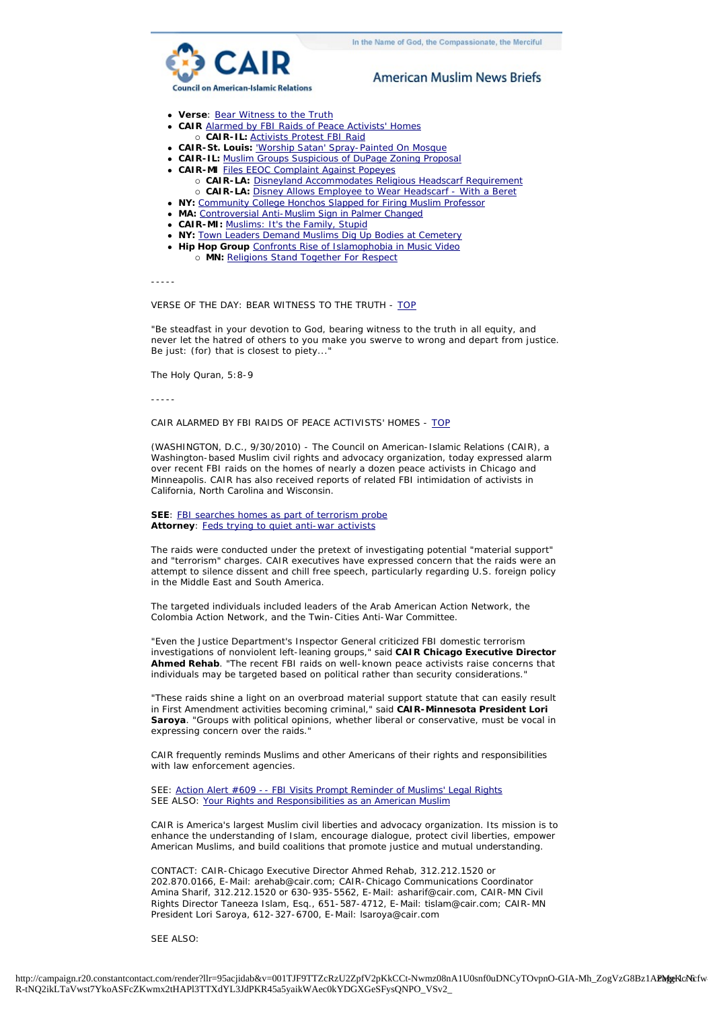

# **American Muslim News Briefs**

- <span id="page-0-2"></span>**verse:** [Bear Witness to the Truth](#page-0-0)
- **cAIR** Alarmed by FBI Raids of Peace Activists' Homes
	- ¡ **CAIR-IL:** [Activists Protest FBI Raid](#page-1-0)
- **cAIR-St. Louis: ['Worship Satan' Spray-Painted On Mosque](#page-1-1)**
- **CAIR-IL:** [Muslim Groups Suspicious of DuPage Zoning Proposal](#page-1-2)
- **. CAIR-MI** [Files EEOC Complaint Against Popeyes](#page-1-3)
	- ¡ **CAIR-LA:** [Disneyland Accommodates Religious Headscarf Requirement](#page-2-0) ¡ **CAIR-LA:** [Disney Allows Employee to Wear Headscarf - With a Beret](#page-2-1)
- **NY: [Community College Honchos Slapped for Firing Muslim Professor](#page-3-0)**
- **MA:** [Controversial Anti-Muslim Sign in Palmer Changed](#page-3-1)
- **cAIR-MI:** [Muslims: It's the Family, Stupid](#page-3-2)
- **NY:** [Town Leaders Demand Muslims Dig Up Bodies at Cemetery](#page-4-0)
- **. Hip Hop Group** [Confronts Rise of Islamophobia in Music Video](#page-4-1)
	- ¡ **MN:** [Religions Stand Together For Respect](#page-4-2)

-----

### <span id="page-0-0"></span>VERSE OF THE DAY: BEAR WITNESS TO THE TRUTH - [TOP](#page-0-2)

"Be steadfast in your devotion to God, bearing witness to the truth in all equity, and never let the hatred of others to you make you swerve to wrong and depart from justice. Be just: (for) that is closest to piety..."

The Holy Quran, 5:8-9

-----

# <span id="page-0-1"></span>CAIR ALARMED BY FBI RAIDS OF PEACE ACTIVISTS' HOMES - [TOP](#page-0-2)

(WASHINGTON, D.C., 9/30/2010) - The Council on American-Islamic Relations (CAIR), a Washington-based Muslim civil rights and advocacy organization, today expressed alarm over recent FBI raids on the homes of nearly a dozen peace activists in Chicago and Minneapolis. CAIR has also received reports of related FBI intimidation of activists in California, North Carolina and Wisconsin.

## **SEE**: [FBI searches homes as part of terrorism probe](http://r20.rs6.net/tn.jsp?llr=95acjidab&et=1103733135190&s=46324&e=001cDR9coxslRQXPD7Zqeg0DzOdG_l2zPlmsU1h9aSBPSq-35awfmpzAMqc-G0x6KHjU2O91xfgJ_eoaFLCbbmX-jBrYaU8syMLO_K2YLs1lUtCoVeSPAfbK8k2cJ4U6oFU4dCVwWfTXClnuZYHko3mnhhRM2GYxenM) **Attorney**: [Feds trying to quiet anti-war activists](http://r20.rs6.net/tn.jsp?llr=95acjidab&et=1103733135190&s=46324&e=001cDR9coxslRSemhHSlrmLtxavP4iIvMYQdKJcfCpPos3W1zpFAS8LLBDAt9SZ_1V-8i9ij-LfkXr63R4v7vKJemNZ1nog3z0i3458vS-EeyjowXezNL_YqEMFORJSh7WJcpytZaFZR84=)

The raids were conducted under the pretext of investigating potential "material support" and "terrorism" charges. CAIR executives have expressed concern that the raids were an attempt to silence dissent and chill free speech, particularly regarding U.S. foreign policy in the Middle East and South America.

The targeted individuals included leaders of the Arab American Action Network, the Colombia Action Network, and the Twin-Cities Anti-War Committee.

"Even the Justice Department's Inspector General criticized FBI domestic terrorism investigations of nonviolent left-leaning groups," said **CAIR Chicago Executive Director Ahmed Rehab**. "The recent FBI raids on well-known peace activists raise concerns that individuals may be targeted based on political rather than security considerations."

"These raids shine a light on an overbroad material support statute that can easily result in First Amendment activities becoming criminal," said **CAIR-Minnesota President Lori Saroya**. "Groups with political opinions, whether liberal or conservative, must be vocal in expressing concern over the raids."

CAIR frequently reminds Muslims and other Americans of their rights and responsibilities with law enforcement agencies.

SEE: [Action Alert #609 -- FBI Visits Prompt Reminder of Muslims' Legal Rights](http://r20.rs6.net/tn.jsp?llr=95acjidab&et=1103733135190&s=46324&e=001cDR9coxslRT1WL2zZkEZPrRH1W7oGCvjyrQTeQMFQMy_lh6T71sPVKIwhL871dBkbqplb2mIKAA_2KZF304Fo2doTaJQJO1jkx61RwNRE5c0KwmoI3k87D1NhhdZto5C-ODFt19GW1sbzB5gA7HDHTvm_-hdVUp9xqtcDH9D-hU_YSFz7ORvl9H_WilV81JnOjhkgNxIOSp0AJhDw3P4cSfcURiRMgb5) SEE ALSO: [Your Rights and Responsibilities as an American Muslim](http://r20.rs6.net/tn.jsp?llr=95acjidab&et=1103733135190&s=46324&e=001cDR9coxslRQsJLpgc9-yHfTeybCCTy9-AuEkAhx8Yf0IzvqqnkAsykoXb-k3CpinnnfaM7hrmt1848golgaCIZVf5qBvjCKFySDqVUCAzjKLW9RXgI8-BuBKI0EHxF-S50iGoKqXAzCxq2xGy-hH0eCjwPkD1T7v)

CAIR is America's largest Muslim civil liberties and advocacy organization. Its mission is to enhance the understanding of Islam, encourage dialogue, protect civil liberties, empower American Muslims, and build coalitions that promote justice and mutual understanding.

CONTACT: CAIR-Chicago Executive Director Ahmed Rehab, 312.212.1520 or 202.870.0166, E-Mail: arehab@cair.com; CAIR-Chicago Communications Coordinator Amina Sharif, 312.212.1520 or 630-935-5562, E-Mail: asharif@cair.com, CAIR-MN Civil Rights Director Taneeza Islam, Esq., 651-587-4712, E-Mail: tislam@cair.com; CAIR-MN President Lori Saroya, 612-327-6700, E-Mail: lsaroya@cair.com

SEE ALSO: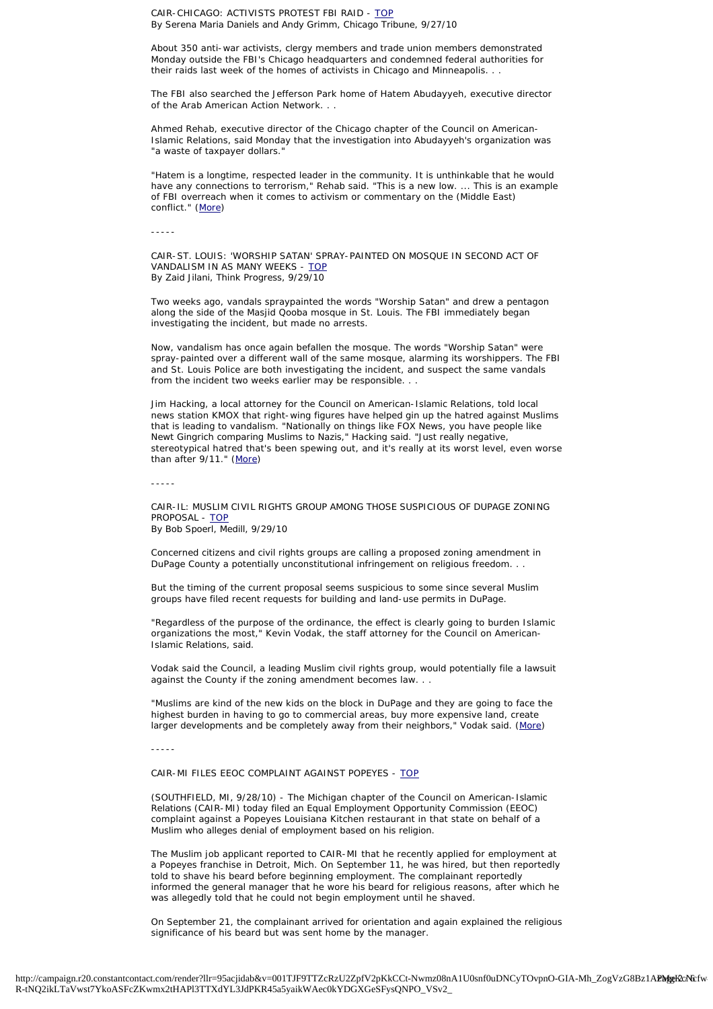<span id="page-1-0"></span>CAIR-CHICAGO: ACTIVISTS PROTEST FBI RAID - [TOP](#page-0-2) By Serena Maria Daniels and Andy Grimm, Chicago Tribune, 9/27/10

About 350 anti-war activists, clergy members and trade union members demonstrated Monday outside the FBI's Chicago headquarters and condemned federal authorities for their raids last week of the homes of activists in Chicago and Minneapolis. . .

The FBI also searched the Jefferson Park home of Hatem Abudayyeh, executive director of the Arab American Action Network. . .

Ahmed Rehab, executive director of the Chicago chapter of the Council on American-Islamic Relations, said Monday that the investigation into Abudayyeh's organization was "a waste of taxpayer dollars."

"Hatem is a longtime, respected leader in the community. It is unthinkable that he would have any connections to terrorism," Rehab said. "This is a new low. ... This is an example of FBI overreach when it comes to activism or commentary on the (Middle East) conflict." [\(More](http://r20.rs6.net/tn.jsp?llr=95acjidab&et=1103733135190&s=46324&e=001cDR9coxslRS162UbEVPVgVamd1NgR8_qT5dzjxwo6q-gVLfWcsgZn6SorhfySoioqpf4btPeXjNkxSG4_lHnux-kRsA4rXunkPiKDwtz9Jw2mTDUzgzKqm5NAdD_11NpwUSq47MlNYVYc8EZWsCOD8ylN64Q8yxOO4OWnHS4_mhrVT3avCDF8zLDxqEBoUBgraH2EG4172qEONnb9BTgqJkqTCr36uxvL-v1O-c5zS0yzPEdLenNw3_NuD1-x9kM))

-----

<span id="page-1-1"></span>CAIR-ST. LOUIS: 'WORSHIP SATAN' SPRAY-PAINTED ON MOSQUE IN SECOND ACT OF VANDALISM IN AS MANY WEEKS - [TOP](#page-0-2) By Zaid Jilani, Think Progress, 9/29/10

Two weeks ago, vandals spraypainted the words "Worship Satan" and drew a pentagon along the side of the Masjid Qooba mosque in St. Louis. The FBI immediately began investigating the incident, but made no arrests.

Now, vandalism has once again befallen the mosque. The words "Worship Satan" were spray-painted over a different wall of the same mosque, alarming its worshippers. The FBI and St. Louis Police are both investigating the incident, and suspect the same vandals from the incident two weeks earlier may be responsible. . .

Jim Hacking, a local attorney for the Council on American-Islamic Relations, told local news station KMOX that right-wing figures have helped gin up the hatred against Muslims that is leading to vandalism. "Nationally on things like FOX News, you have people like Newt Gingrich comparing Muslims to Nazis," Hacking said. "Just really negative, stereotypical hatred that's been spewing out, and it's really at its worst level, even worse than after 9/11." [\(More\)](http://r20.rs6.net/tn.jsp?llr=95acjidab&et=1103733135190&s=46324&e=001cDR9coxslRTEZk6EAnVIkFmU94X61uNvFoLyRKRlWhdJKC4UrouUxBchlCyQzXoPnDkbOfi4secB1JW6OxcPMHag4skMoOqoAb8ZySxjIvRe12WPJkCZwgAAm3ShZadY4dY8GBJ9M3fMv9WYig7CRUMSFCgTn7hoe-xY8DR_FUI=)

-----

<span id="page-1-2"></span>CAIR-IL: MUSLIM CIVIL RIGHTS GROUP AMONG THOSE SUSPICIOUS OF DUPAGE ZONING PROPOSAL - [TOP](#page-0-2) By Bob Spoerl, Medill, 9/29/10

Concerned citizens and civil rights groups are calling a proposed zoning amendment in DuPage County a potentially unconstitutional infringement on religious freedom.

But the timing of the current proposal seems suspicious to some since several Muslim groups have filed recent requests for building and land-use permits in DuPage.

"Regardless of the purpose of the ordinance, the effect is clearly going to burden Islamic organizations the most," Kevin Vodak, the staff attorney for the Council on American-Islamic Relations, said.

Vodak said the Council, a leading Muslim civil rights group, would potentially file a lawsuit against the County if the zoning amendment becomes law. . .

"Muslims are kind of the new kids on the block in DuPage and they are going to face the highest burden in having to go to commercial areas, buy more expensive land, create larger developments and be completely away from their neighbors," Vodak said. [\(More\)](http://r20.rs6.net/tn.jsp?llr=95acjidab&et=1103733135190&s=46324&e=001cDR9coxslRQkyMoQ-pjeoKLzRms5VHXSnPD4bcUGcv4HODr40kBui6LQH51wRm2EZ-E_xCyw1UXXbfX_DfcVJfMp0W9TUcSR4vwWa8V9MlueGDa8h96on-_Vc29xA6-dOqautkqAnGusGnDyjKQQZ9SFaNvznzGi1wtlYW3wgPcE6JtVPsrByA==)

-----

<span id="page-1-3"></span>CAIR-MI FILES EEOC COMPLAINT AGAINST POPEYES - [TOP](#page-0-2)

(SOUTHFIELD, MI, 9/28/10) - The Michigan chapter of the Council on American-Islamic Relations (CAIR-MI) today filed an Equal Employment Opportunity Commission (EEOC) complaint against a Popeyes Louisiana Kitchen restaurant in that state on behalf of a Muslim who alleges denial of employment based on his religion.

The Muslim job applicant reported to CAIR-MI that he recently applied for employment at a Popeyes franchise in Detroit, Mich. On September 11, he was hired, but then reportedly told to shave his beard before beginning employment. The complainant reportedly informed the general manager that he wore his beard for religious reasons, after which he was allegedly told that he could not begin employment until he shaved.

On September 21, the complainant arrived for orientation and again explained the religious significance of his beard but was sent home by the manager.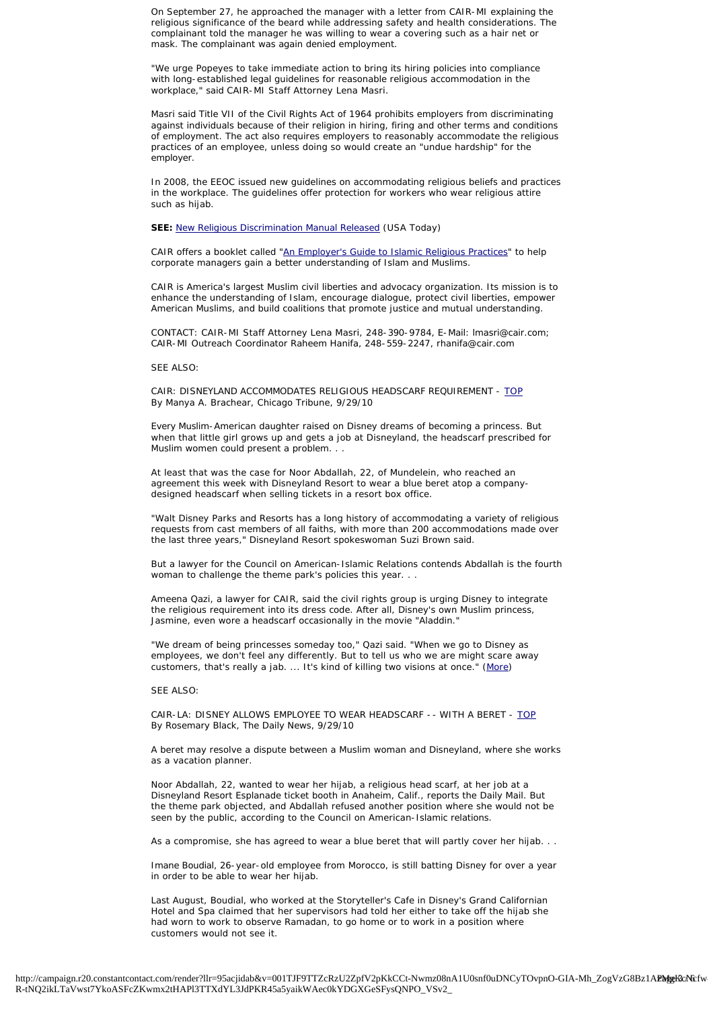On September 27, he approached the manager with a letter from CAIR-MI explaining the religious significance of the beard while addressing safety and health considerations. The complainant told the manager he was willing to wear a covering such as a hair net or mask. The complainant was again denied employment.

"We urge Popeyes to take immediate action to bring its hiring policies into compliance with long-established legal guidelines for reasonable religious accommodation in the workplace," said CAIR-MI Staff Attorney Lena Masri.

Masri said Title VII of the Civil Rights Act of 1964 prohibits employers from discriminating against individuals because of their religion in hiring, firing and other terms and conditions of employment. The act also requires employers to reasonably accommodate the religious practices of an employee, unless doing so would create an "undue hardship" for the employer.

In 2008, the EEOC issued new guidelines on accommodating religious beliefs and practices in the workplace. The guidelines offer protection for workers who wear religious attire such as hijab.

**SEE:** [New Religious Discrimination Manual Released](http://r20.rs6.net/tn.jsp?llr=95acjidab&et=1103733135190&s=46324&e=001cDR9coxslRTz2Pwdy7rwFTBmcLDhR86i0PwrOJR4jbeVwVDaATlYG9MJ4BWo8NvRcI6KHzbDmO7eafruqiQI0Z6upxyRnlQvscSjkqHgOAITntXUpFYPLm-XgsSxmnztCDEsPuuVwiocjm0Ah2m8oElgk7GYj84ORgoLJkNt4HNkpwQbzMRiTbPBDUwfPS45) (USA Today)

CAIR offers a booklet called ["An Employer's Guide to Islamic Religious Practices"](http://r20.rs6.net/tn.jsp?llr=95acjidab&et=1103733135190&s=46324&e=001cDR9coxslRROsjLb9uXJie_VnUfnwHcpPevsDZ1mZWF5fT-rKZx0aWDAEHSEsSw7CnYHRL6pgrn6u8Y_Wtz_-BdkL7Iye8gdNBVvuwFbAT2tATOO7gQiRkEDSUiJ4xbt0cthnrngv4KXQ_Pgw0gcNm6VhJ0QVUGm) to help corporate managers gain a better understanding of Islam and Muslims.

CAIR is America's largest Muslim civil liberties and advocacy organization. Its mission is to enhance the understanding of Islam, encourage dialogue, protect civil liberties, empower American Muslims, and build coalitions that promote justice and mutual understanding.

CONTACT: CAIR-MI Staff Attorney Lena Masri, 248-390-9784, E-Mail: lmasri@cair.com; CAIR-MI Outreach Coordinator Raheem Hanifa, 248-559-2247, rhanifa@cair.com

## SEE ALSO:

<span id="page-2-0"></span>CAIR: DISNEYLAND ACCOMMODATES RELIGIOUS HEADSCARF REQUIREMENT - [TOP](#page-0-2) By Manya A. Brachear, Chicago Tribune, 9/29/10

Every Muslim-American daughter raised on Disney dreams of becoming a princess. But when that little girl grows up and gets a job at Disneyland, the headscarf prescribed for Muslim women could present a problem. . .

At least that was the case for Noor Abdallah, 22, of Mundelein, who reached an agreement this week with Disneyland Resort to wear a blue beret atop a companydesigned headscarf when selling tickets in a resort box office.

"Walt Disney Parks and Resorts has a long history of accommodating a variety of religious requests from cast members of all faiths, with more than 200 accommodations made over the last three years," Disneyland Resort spokeswoman Suzi Brown said.

But a lawyer for the Council on American-Islamic Relations contends Abdallah is the fourth woman to challenge the theme park's policies this year. . .

Ameena Qazi, a lawyer for CAIR, said the civil rights group is urging Disney to integrate the religious requirement into its dress code. After all, Disney's own Muslim princess, Jasmine, even wore a headscarf occasionally in the movie "Aladdin."

"We dream of being princesses someday too," Qazi said. "When we go to Disney as employees, we don't feel any differently. But to tell us who we are might scare away customers, that's really a jab. ... It's kind of killing two visions at once." [\(More](http://r20.rs6.net/tn.jsp?llr=95acjidab&et=1103733135190&s=46324&e=001cDR9coxslRRFNxmhQ9eo4mMNzBxgtQ1YrkU8dULp5MH0A1YVamggGSKiCQGIihbrk7pB9YpZNaAjUpoW83JDN0cGg2VnBxmaUycHw3R-5Df3e15jThtzROWB1xhI8UUN75_DOfm-szVJFpnabFrEKuL4w_pthoGHpr9IUrcg6WX1tCjZAZ3ogNMJdSqEw4JSVmKEY4KFqlAIaQHs_HAJqaPKCqI4k0YB))

## SEE ALSO:

<span id="page-2-1"></span>CAIR-LA: DISNEY ALLOWS EMPLOYEE TO WEAR HEADSCARF -- WITH A BERET - [TOP](#page-0-2) By Rosemary Black, The Daily News, 9/29/10

A beret may resolve a dispute between a Muslim woman and Disneyland, where she works as a vacation planner.

Noor Abdallah, 22, wanted to wear her hijab, a religious head scarf, at her job at a Disneyland Resort Esplanade ticket booth in Anaheim, Calif., reports the Daily Mail. But the theme park objected, and Abdallah refused another position where she would not be seen by the public, according to the Council on American-Islamic relations.

As a compromise, she has agreed to wear a blue beret that will partly cover her hijab. . .

Imane Boudial, 26-year-old employee from Morocco, is still batting Disney for over a year in order to be able to wear her hijab.

Last August, Boudial, who worked at the Storyteller's Cafe in Disney's Grand Californian Hotel and Spa claimed that her supervisors had told her either to take off the hijab she had worn to work to observe Ramadan, to go home or to work in a position where customers would not see it.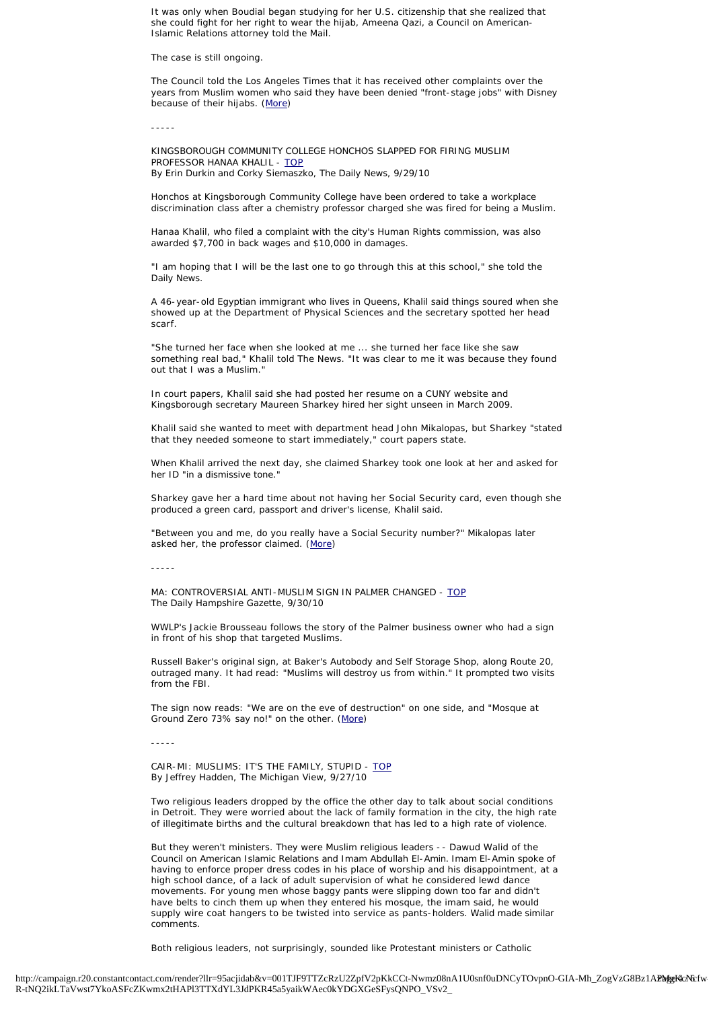It was only when Boudial began studying for her U.S. citizenship that she realized that she could fight for her right to wear the hijab, Ameena Qazi, a Council on American-Islamic Relations attorney told the Mail.

The case is still ongoing.

The Council told the Los Angeles Times that it has received other complaints over the years from Muslim women who said they have been denied "front-stage jobs" with Disney because of their hijabs. ([More\)](http://r20.rs6.net/tn.jsp?llr=95acjidab&et=1103733135190&s=46324&e=001cDR9coxslRQ_hpsCoFPXWxOckzMmwJzL5G4syf2ZEnVFK8DTl5Ng--kL8ELMiSkWb-9ZWcuIjEbHFY0k9BdUlv-Mjgpu-khUoYJAYtZs41dmMByy4ZUPPrL5_DGzoDNX8_eDM7QTQXOLW-cpXlFaI8sf9nVY4Y7HXvnIcGDDS_sWfEcm41BPHVylvs8IZcRw7asZFby70SpAwfiaqQBDaBW2vR9Q5bF0M4IUWw5gEF4Jm2yxmRV-2zb7uCVMbX8J)

-----

<span id="page-3-0"></span>KINGSBOROUGH COMMUNITY COLLEGE HONCHOS SLAPPED FOR FIRING MUSLIM PROFESSOR HANAA KHALIL - [TOP](#page-0-2) By Erin Durkin and Corky Siemaszko, The Daily News, 9/29/10

Honchos at Kingsborough Community College have been ordered to take a workplace discrimination class after a chemistry professor charged she was fired for being a Muslim.

Hanaa Khalil, who filed a complaint with the city's Human Rights commission, was also awarded \$7,700 in back wages and \$10,000 in damages.

"I am hoping that I will be the last one to go through this at this school," she told the Daily News.

A 46-year-old Egyptian immigrant who lives in Queens, Khalil said things soured when she showed up at the Department of Physical Sciences and the secretary spotted her head scarf.

"She turned her face when she looked at me ... she turned her face like she saw something real bad," Khalil told The News. "It was clear to me it was because they found out that I was a Muslim.'

In court papers, Khalil said she had posted her resume on a CUNY website and Kingsborough secretary Maureen Sharkey hired her sight unseen in March 2009.

Khalil said she wanted to meet with department head John Mikalopas, but Sharkey "stated that they needed someone to start immediately," court papers state.

When Khalil arrived the next day, she claimed Sharkey took one look at her and asked for her ID "in a dismissive tone."

Sharkey gave her a hard time about not having her Social Security card, even though she produced a green card, passport and driver's license, Khalil said.

"Between you and me, do you really have a Social Security number?" Mikalopas later asked her, the professor claimed. ([More\)](http://r20.rs6.net/tn.jsp?llr=95acjidab&et=1103733135190&s=46324&e=001cDR9coxslRT_3vBw7Pqml1j9ZNx6sh3dUUSfyYV03HwqH6jZ4YQNNqvU-D10YF9nVeMNDkOYU0aQk6GjxQiM7HoK4LbiTi3ejnEIPO1ecetX-07oHyNYfFXM8cUaVJkTmwuWE74Od4en6rbf-l66aPRbnZQyi0RoNtdRCgb_czdBWqZH_hInGIxMHQh-OBfboFwEMnCDD59cOmjsaoYJNqWTBrvbZek2Ux8QmFqelSNW2Si2DiyRQlxioBJe2gjXq3SQ_lsCgISU84gC8M_Dgw==)

-----

<span id="page-3-1"></span>MA: CONTROVERSIAL ANTI-MUSLIM SIGN IN PALMER CHANGED - [TOP](#page-0-2) The Daily Hampshire Gazette, 9/30/10

WWLP's Jackie Brousseau follows the story of the Palmer business owner who had a sign in front of his shop that targeted Muslims.

Russell Baker's original sign, at Baker's Autobody and Self Storage Shop, along Route 20, outraged many. It had read: "Muslims will destroy us from within." It prompted two visits from the FBI.

The sign now reads: "We are on the eve of destruction" on one side, and "Mosque at Ground Zero 73% say no!" on the other. ([More](http://r20.rs6.net/tn.jsp?llr=95acjidab&et=1103733135190&s=46324&e=001cDR9coxslRT4HOI5EfQNJ45Glj_k_33sZW4JuAwlJRfdIPoH-pszhRX0xwGUcS9WMVV-im2pRrBtyBA2nU1lB29QCciXLxb9qwyaK-opROhtD3609HPE6WIoHxpwVXixCPT-wQXWJ3-I2EpHGXdpZgscphaFyN1J1MPiTp4q_B2iPA4DYYbWADTjFAMJpb3ENic8lEJU00c=))

-----

<span id="page-3-2"></span>CAIR-MI: MUSLIMS: IT'S THE FAMILY, STUPID - [TOP](#page-0-2) By Jeffrey Hadden, The Michigan View, 9/27/10

Two religious leaders dropped by the office the other day to talk about social conditions in Detroit. They were worried about the lack of family formation in the city, the high rate of illegitimate births and the cultural breakdown that has led to a high rate of violence.

But they weren't ministers. They were Muslim religious leaders -- Dawud Walid of the Council on American Islamic Relations and Imam Abdullah El-Amin. Imam El-Amin spoke of having to enforce proper dress codes in his place of worship and his disappointment, at a high school dance, of a lack of adult supervision of what he considered lewd dance movements. For young men whose baggy pants were slipping down too far and didn't have belts to cinch them up when they entered his mosque, the imam said, he would supply wire coat hangers to be twisted into service as pants-holders. Walid made similar comments.

Both religious leaders, not surprisingly, sounded like Protestant ministers or Catholic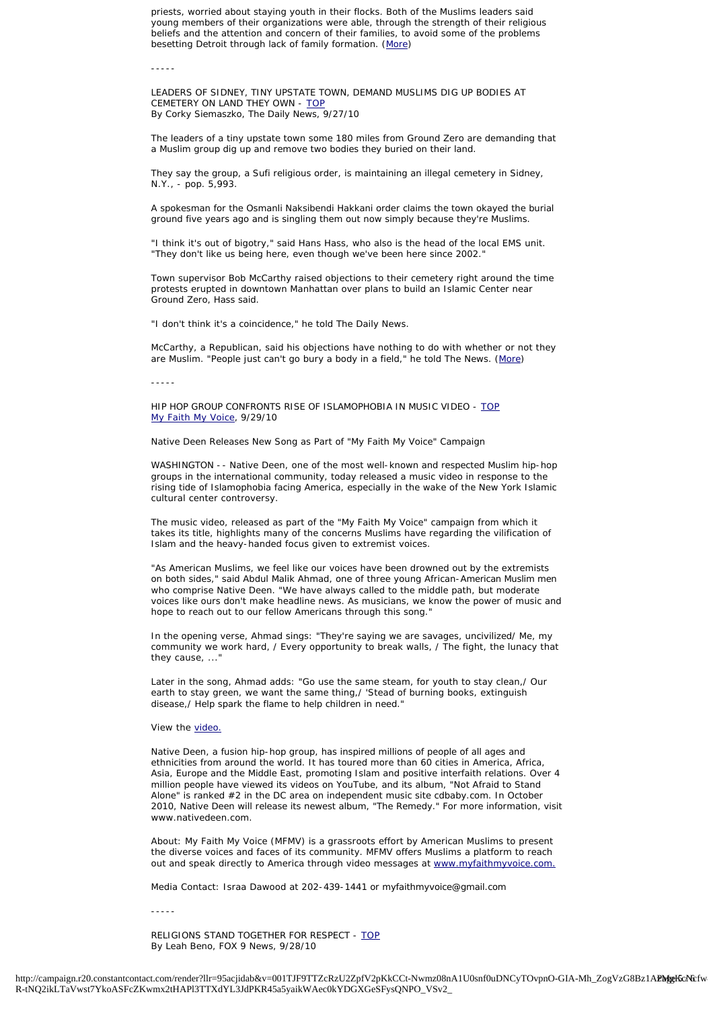priests, worried about staying youth in their flocks. Both of the Muslims leaders said young members of their organizations were able, through the strength of their religious beliefs and the attention and concern of their families, to avoid some of the problems besetting Detroit through lack of family formation. [\(More](http://r20.rs6.net/tn.jsp?llr=95acjidab&et=1103733135190&s=46324&e=001cDR9coxslRT2367EDR2V0FuAk7faPvU50Ehj-ISBJqSBpC4vuuoBPRZ4hNWp03QTVF3tSlAmweQpXVKBAxxsIeiCJgWZO7JUZQv47xVvC-TF88VFyACvAdLaA3Gc0niEQYa3-AqqSl3bDSapTD04YajshH1wTQt3DneWASpUYJvV5tQgPYju4fvWVsaRP_DVpFHP7prwSMgcTvMLwFzt_3uYx4xPDOYlrAhCMg8ISePmwxo38nbJlA==))

-----

<span id="page-4-0"></span>LEADERS OF SIDNEY, TINY UPSTATE TOWN, DEMAND MUSLIMS DIG UP BODIES AT CEMETERY ON LAND THEY OWN - [TOP](#page-0-2) By Corky Siemaszko, The Daily News, 9/27/10

The leaders of a tiny upstate town some 180 miles from Ground Zero are demanding that a Muslim group dig up and remove two bodies they buried on their land.

They say the group, a Sufi religious order, is maintaining an illegal cemetery in Sidney, N.Y., - pop. 5,993.

A spokesman for the Osmanli Naksibendi Hakkani order claims the town okayed the burial ground five years ago and is singling them out now simply because they're Muslims.

"I think it's out of bigotry," said Hans Hass, who also is the head of the local EMS unit. "They don't like us being here, even though we've been here since 2002."

Town supervisor Bob McCarthy raised objections to their cemetery right around the time protests erupted in downtown Manhattan over plans to build an Islamic Center near Ground Zero, Hass said.

"I don't think it's a coincidence," he told The Daily News.

McCarthy, a Republican, said his objections have nothing to do with whether or not they are Muslim. "People just can't go bury a body in a field," he told The News. [\(More\)](http://r20.rs6.net/tn.jsp?llr=95acjidab&et=1103733135190&s=46324&e=001cDR9coxslRSrO4MlEXRSiz6FluqszdxNdDh6-6a_JQzmKtljkZaKXTiWbONMlAXQKnn0932nEURfpe8ix0MMnEDy_gWmRWRzEYsa5KcEbqGG7hvABwZuF7lxLacjOn4oN1YY0DUv7P5FE4WP1uVHPlNZ_sbpywwkE7yrCZTTL6Ws9MVxEuUrvzs6KgbLyakyiop0RgsvttG-rf_9TbMF0ASv8Cxm59QnCXcBi08s1ysl5Ihx7uffCAI8bWV0FiIpNoOkcip8bEixyDgKPEX-VKCXT7qidSstBqchxNOKXcac8vXoWUZfOw==)

-----

<span id="page-4-1"></span>HIP HOP GROUP CONFRONTS RISE OF ISLAMOPHOBIA IN MUSIC VIDEO - [TOP](#page-0-2) [My Faith My Voice,](http://r20.rs6.net/tn.jsp?llr=95acjidab&et=1103733135190&s=46324&e=001cDR9coxslRQPZqd-D-SoIMHRbmKulh9xW-FtP7sa6AK-AVP_ASnf0yhmJwsFA9f524ItivL9iz_STKNKZKX4c6TDEdKjYWYr8bxW-H3TXov7uj2ffI0eLzQnu4E8iS1NXXE5QfoxRVFuBJc7HLq3xGZQpPcCDZvIer_0XNj3G-inAZmTg2oIGgWt0YpJ_AOaRfA8Mrvq-ydyJxgD9PPQ6qSSZmC6qtp_420Sw-7TiDk=) 9/29/10

Native Deen Releases New Song as Part of "My Faith My Voice" Campaign

WASHINGTON -- Native Deen, one of the most well-known and respected Muslim hip-hop groups in the international community, today released a music video in response to the rising tide of Islamophobia facing America, especially in the wake of the New York Islamic cultural center controversy.

The music video, released as part of the "My Faith My Voice" campaign from which it takes its title, highlights many of the concerns Muslims have regarding the vilification of Islam and the heavy-handed focus given to extremist voices.

"As American Muslims, we feel like our voices have been drowned out by the extremists on both sides," said Abdul Malik Ahmad, one of three young African-American Muslim men who comprise Native Deen. "We have always called to the middle path, but moderate voices like ours don't make headline news. As musicians, we know the power of music and hope to reach out to our fellow Americans through this song."

In the opening verse, Ahmad sings: "They're saying we are savages, uncivilized/ Me, my community we work hard, / Every opportunity to break walls, / The fight, the lunacy that they cause, ...

Later in the song, Ahmad adds: "Go use the same steam, for youth to stay clean,/ Our earth to stay green, we want the same thing,/ 'Stead of burning books, extinguish disease,/ Help spark the flame to help children in need."

View the [video.](http://r20.rs6.net/tn.jsp?llr=95acjidab&et=1103733135190&s=46324&e=001cDR9coxslRSCdAbmw62lF1pJW0_W_8ixbb60por2ZpfO-2S_WcQ1EtxVR1z_lj2RNdr_GTDZb-mHc5t1qrk3Q3JduUtgDPNL5eWtVD4MBb4=)

Native Deen, a fusion hip-hop group, has inspired millions of people of all ages and ethnicities from around the world. It has toured more than 60 cities in America, Africa, Asia, Europe and the Middle East, promoting Islam and positive interfaith relations. Over 4 million people have viewed its videos on YouTube, and its album, "Not Afraid to Stand Alone" is ranked #2 in the DC area on independent music site cdbaby.com. In October 2010, Native Deen will release its newest album, "The Remedy." For more information, visit www.nativedeen.com

About: My Faith My Voice (MFMV) is a grassroots effort by American Muslims to present the diverse voices and faces of its community. MFMV offers Muslims a platform to reach out and speak directly to America through video messages at [www.myfaithmyvoice.com.](http://r20.rs6.net/tn.jsp?llr=95acjidab&et=1103733135190&s=46324&e=001cDR9coxslRROJ_DHMb2RX2HJ1YWWVUtJunshak-40ALBFhTO-eyoZb9VoEjbpenxcJ99J-UVgnyETRKaho--AW5BGjwc86ZpdXKW-VpqKhk=)

Media Contact: Israa Dawood at 202-439-1441 or myfaithmyvoice@gmail.com

-----

<span id="page-4-2"></span>RELIGIONS STAND TOGETHER FOR RESPECT - [TOP](#page-0-2) By Leah Beno, FOX 9 News, 9/28/10